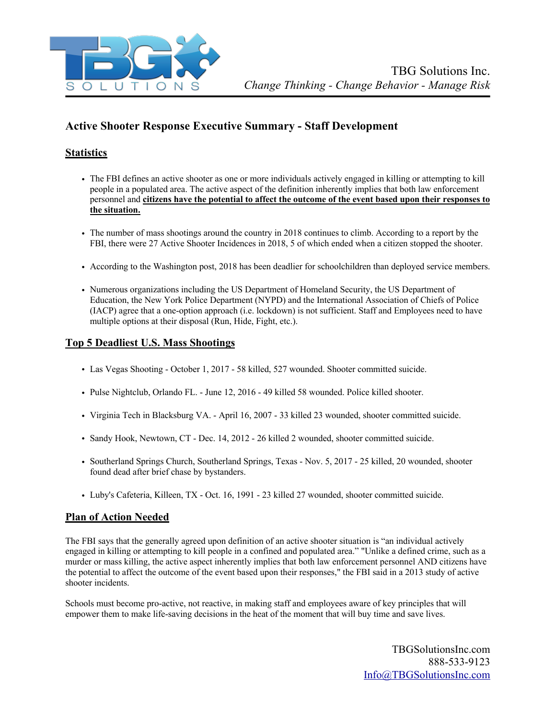

# **Active Shooter Response Executive Summary - Staff Development**

# **Statistics**

- The FBI defines an active shooter as one or more individuals actively engaged in killing or attempting to kill people in a populated area. The active aspect of the definition inherently implies that both law enforcement personnel and **citizens have the potential to affect the outcome of the event based upon their responses to the situation.**
- The number of mass shootings around the country in 2018 continues to climb. According to a report by the FBI, there were 27 Active Shooter Incidences in 2018, 5 of which ended when a citizen stopped the shooter.
- According to the Washington post, 2018 has been deadlier for schoolchildren than deployed service members.
- Numerous organizations including the US Department of Homeland Security, the US Department of Education, the New York Police Department (NYPD) and the International Association of Chiefs of Police (IACP) agree that a one-option approach (i.e. lockdown) is not sufficient. Staff and Employees need to have multiple options at their disposal (Run, Hide, Fight, etc.).

## **Top 5 Deadliest U.S. Mass Shootings**

- Las Vegas Shooting October 1, 2017 58 killed, 527 wounded. Shooter committed suicide.
- Pulse Nightclub, Orlando FL. June 12, 2016 49 killed 58 wounded. Police killed shooter.
- Virginia Tech in Blacksburg VA. April 16, 2007 33 killed 23 wounded, shooter committed suicide.
- Sandy Hook, Newtown, CT Dec. 14, 2012 26 killed 2 wounded, shooter committed suicide.
- Southerland Springs Church, Southerland Springs, Texas Nov. 5, 2017 25 killed, 20 wounded, shooter found dead after brief chase by bystanders.
- Luby's Cafeteria, Killeen, TX Oct. 16, 1991 23 killed 27 wounded, shooter committed suicide.

## **Plan of Action Needed**

The FBI says that the generally agreed upon definition of an active shooter situation is "an individual actively engaged in killing or attempting to kill people in a confined and populated area." "Unlike a defined crime, such as a murder or mass killing, the active aspect inherently implies that both law enforcement personnel AND citizens have the potential to affect the outcome of the event based upon their responses," the FBI said in a 2013 study of active shooter incidents.

Schools must become pro-active, not reactive, in making staff and employees aware of key principles that will empower them to make life-saving decisions in the heat of the moment that will buy time and save lives.